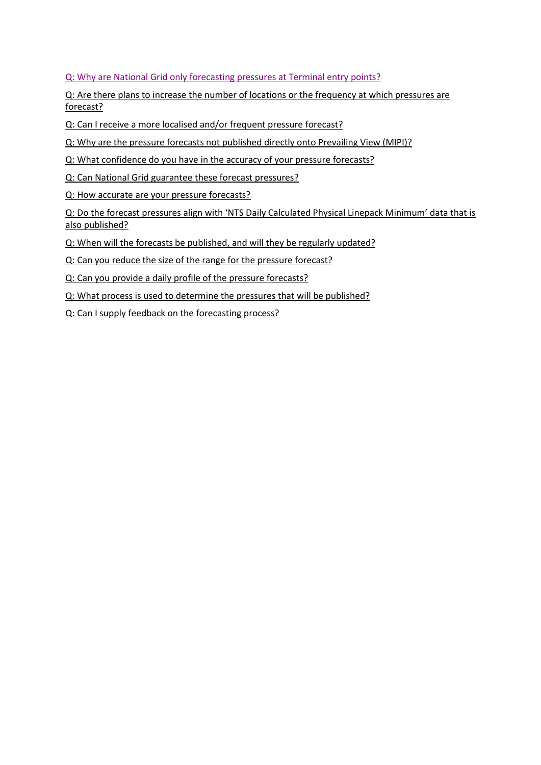# [Q: Why are National Grid only forecasting pressures at Terminal entry points?](#page-1-0)

[Q: Are there plans to increase the number of locations or the frequency at which pressures are](#page-1-1)  [forecast?](#page-1-1)

Q: Can I receive [a more localised and/or frequent pressure forecast?](#page-1-2)

[Q: Why are the pressure forecasts not published directly onto Prevailing View \(MIPI\)?](#page-1-3)

[Q: What confidence do you have in the accuracy of your pressure forecasts?](#page-1-4)

[Q: Can National Grid guarantee these forecast pressures?](#page-1-5)

[Q: How accurate are your pressure forecasts?](#page-2-0)

Q: Do the forecast pressures align with ['NTS Daily Calculated Physical Linepack Minimum'](#page-2-1) data that is [also published?](#page-2-1)

[Q: When will the forecasts be published,](#page-2-2) and will they be regularly updated?

[Q: Can you reduce the size of the range for the pressure forecast?](#page-2-3)

[Q: Can you provide a daily profile of the pressure forecasts?](#page-2-4)

[Q: What process is used to determine the pressures that will be published?](#page-2-5)

[Q: Can I supply feedback on the forecasting process?](#page-2-6)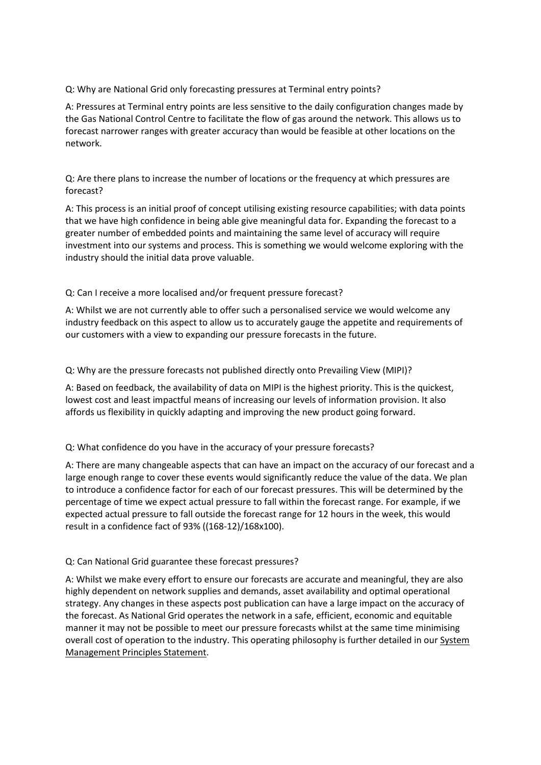<span id="page-1-0"></span>Q: Why are National Grid only forecasting pressures at Terminal entry points?

A: Pressures at Terminal entry points are less sensitive to the daily configuration changes made by the Gas National Control Centre to facilitate the flow of gas around the network. This allows us to forecast narrower ranges with greater accuracy than would be feasible at other locations on the network.

<span id="page-1-1"></span>Q: Are there plans to increase the number of locations or the frequency at which pressures are forecast?

A: This process is an initial proof of concept utilising existing resource capabilities; with data points that we have high confidence in being able give meaningful data for. Expanding the forecast to a greater number of embedded points and maintaining the same level of accuracy will require investment into our systems and process. This is something we would welcome exploring with the industry should the initial data prove valuable.

<span id="page-1-2"></span>Q: Can I receive a more localised and/or frequent pressure forecast?

A: Whilst we are not currently able to offer such a personalised service we would welcome any industry feedback on this aspect to allow us to accurately gauge the appetite and requirements of our customers with a view to expanding our pressure forecasts in the future.

<span id="page-1-3"></span>Q: Why are the pressure forecasts not published directly onto Prevailing View (MIPI)?

A: Based on feedback, the availability of data on MIPI is the highest priority. This is the quickest, lowest cost and least impactful means of increasing our levels of information provision. It also affords us flexibility in quickly adapting and improving the new product going forward.

<span id="page-1-4"></span>Q: What confidence do you have in the accuracy of your pressure forecasts?

A: There are many changeable aspects that can have an impact on the accuracy of our forecast and a large enough range to cover these events would significantly reduce the value of the data. We plan to introduce a confidence factor for each of our forecast pressures. This will be determined by the percentage of time we expect actual pressure to fall within the forecast range. For example, if we expected actual pressure to fall outside the forecast range for 12 hours in the week, this would result in a confidence fact of 93% ((168-12)/168x100).

### <span id="page-1-5"></span>Q: Can National Grid guarantee these forecast pressures?

A: Whilst we make every effort to ensure our forecasts are accurate and meaningful, they are also highly dependent on network supplies and demands, asset availability and optimal operational strategy. Any changes in these aspects post publication can have a large impact on the accuracy of the forecast. As National Grid operates the network in a safe, efficient, economic and equitable manner it may not be possible to meet our pressure forecasts whilst at the same time minimising overall cost of operation to the industry. This operating philosophy is further detailed in our System [Management Principles Statement.](https://www.nationalgrid.com/sites/default/files/documents/System%20Management%20Principles%20Statement%20-%20Effective%20April%202017.pdf)